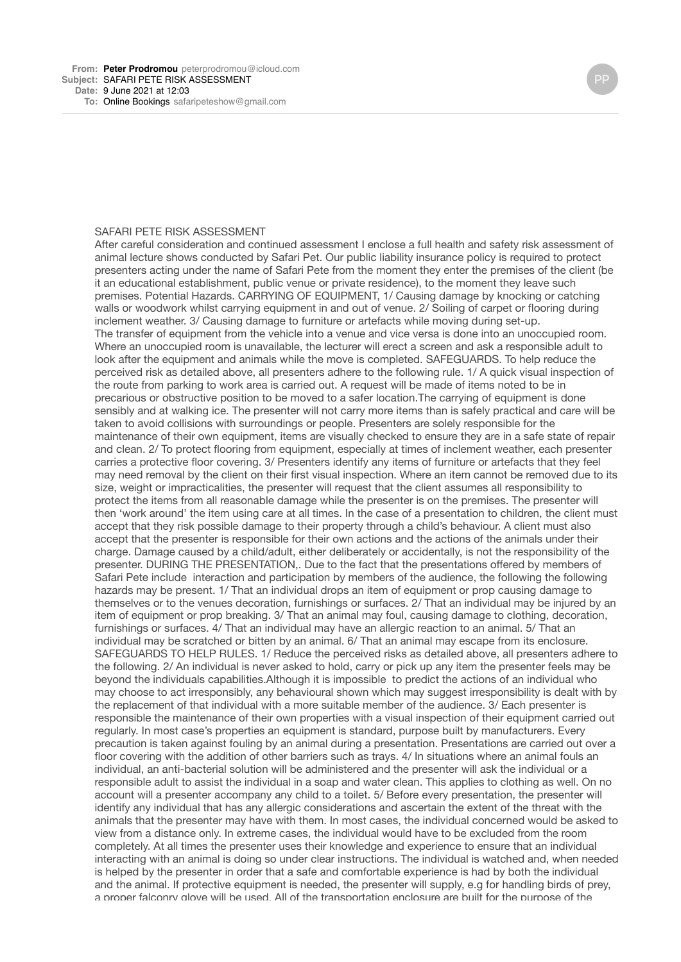## SAFARI PETE RISK ASSESSMENT

After careful consideration and continued assessment I enclose a full health and safety risk assessment of animal lecture shows conducted by Safari Pet. Our public liability insurance policy is required to protect presenters acting under the name of Safari Pete from the moment they enter the premises of the client (be it an educational establishment, public venue or private residence), to the moment they leave such premises. Potential Hazards. CARRYING OF EQUIPMENT, 1/ Causing damage by knocking or catching walls or woodwork whilst carrying equipment in and out of venue. 2/ Soiling of carpet or flooring during inclement weather. 3/ Causing damage to furniture or artefacts while moving during set-up. The transfer of equipment from the vehicle into a venue and vice versa is done into an unoccupied room. Where an unoccupied room is unavailable, the lecturer will erect a screen and ask a responsible adult to look after the equipment and animals while the move is completed. SAFEGUARDS. To help reduce the perceived risk as detailed above, all presenters adhere to the following rule. 1/ A quick visual inspection of the route from parking to work area is carried out. A request will be made of items noted to be in precarious or obstructive position to be moved to a safer location.The carrying of equipment is done sensibly and at walking ice. The presenter will not carry more items than is safely practical and care will be taken to avoid collisions with surroundings or people. Presenters are solely responsible for the maintenance of their own equipment, items are visually checked to ensure they are in a safe state of repair and clean. 2/ To protect flooring from equipment, especially at times of inclement weather, each presenter carries a protective floor covering. 3/ Presenters identify any items of furniture or artefacts that they feel may need removal by the client on their first visual inspection. Where an item cannot be removed due to its size, weight or impracticalities, the presenter will request that the client assumes all responsibility to protect the items from all reasonable damage while the presenter is on the premises. The presenter will then 'work around' the item using care at all times. In the case of a presentation to children, the client must accept that they risk possible damage to their property through a child's behaviour. A client must also accept that the presenter is responsible for their own actions and the actions of the animals under their charge. Damage caused by a child/adult, either deliberately or accidentally, is not the responsibility of the presenter. DURING THE PRESENTATION,. Due to the fact that the presentations offered by members of Safari Pete include interaction and participation by members of the audience, the following the following hazards may be present. 1/ That an individual drops an item of equipment or prop causing damage to themselves or to the venues decoration, furnishings or surfaces. 2/ That an individual may be injured by an item of equipment or prop breaking. 3/ That an animal may foul, causing damage to clothing, decoration, furnishings or surfaces. 4/ That an individual may have an allergic reaction to an animal. 5/ That an individual may be scratched or bitten by an animal. 6/ That an animal may escape from its enclosure. SAFEGUARDS TO HELP RULES. 1/ Reduce the perceived risks as detailed above, all presenters adhere to the following. 2/ An individual is never asked to hold, carry or pick up any item the presenter feels may be beyond the individuals capabilities.Although it is impossible to predict the actions of an individual who may choose to act irresponsibly, any behavioural shown which may suggest irresponsibility is dealt with by the replacement of that individual with a more suitable member of the audience. 3/ Each presenter is responsible the maintenance of their own properties with a visual inspection of their equipment carried out regularly. In most case's properties an equipment is standard, purpose built by manufacturers. Every precaution is taken against fouling by an animal during a presentation. Presentations are carried out over a floor covering with the addition of other barriers such as trays. 4/ In situations where an animal fouls an individual, an anti-bacterial solution will be administered and the presenter will ask the individual or a responsible adult to assist the individual in a soap and water clean. This applies to clothing as well. On no account will a presenter accompany any child to a toilet. 5/ Before every presentation, the presenter will identify any individual that has any allergic considerations and ascertain the extent of the threat with the animals that the presenter may have with them. In most cases, the individual concerned would be asked to view from a distance only. In extreme cases, the individual would have to be excluded from the room completely. At all times the presenter uses their knowledge and experience to ensure that an individual interacting with an animal is doing so under clear instructions. The individual is watched and, when needed is helped by the presenter in order that a safe and comfortable experience is had by both the individual and the animal. If protective equipment is needed, the presenter will supply, e.g for handling birds of prey, a proper falconry glove will be used. All of the transportation enclosure are built for the purpose of the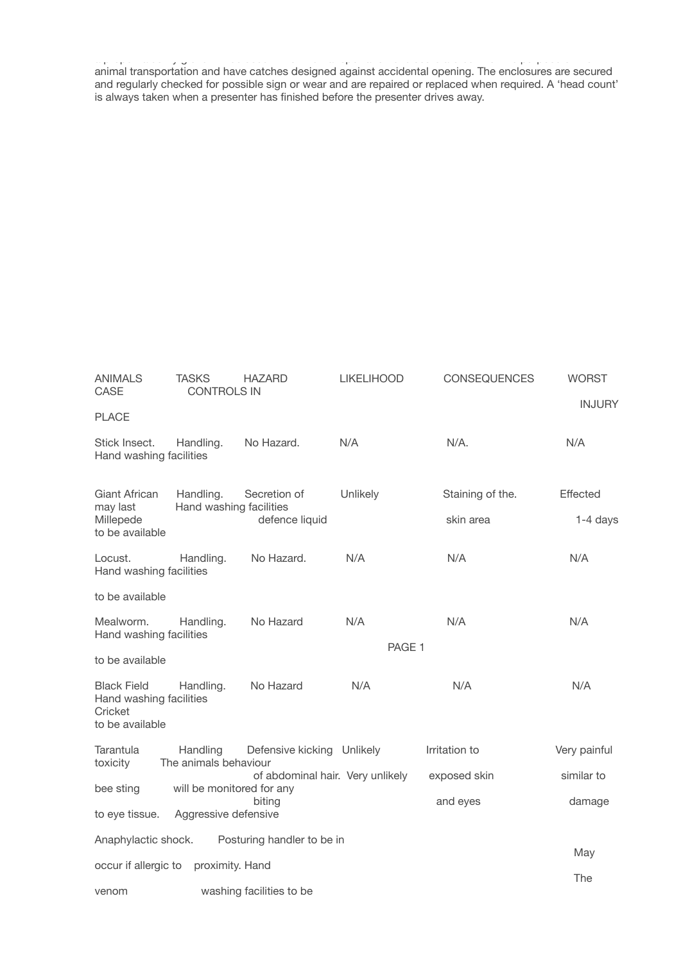a proper falconry glove will be used. All of the transportation enclosure are built for the purpose of the animal transportation and have catches designed against accidental opening. The enclosures are secured and regularly checked for possible sign or wear and are repaired or replaced when required. A 'head count' is always taken when a presenter has finished before the presenter drives away.

| <b>ANIMALS</b><br>CASE                                                      | <b>TASKS</b><br><b>CONTROLS IN</b>   | <b>HAZARD</b>                    | <b>LIKELIHOOD</b> | <b>CONSEQUENCES</b>           | <b>WORST</b>         |
|-----------------------------------------------------------------------------|--------------------------------------|----------------------------------|-------------------|-------------------------------|----------------------|
| <b>PLACE</b>                                                                |                                      |                                  |                   |                               | <b>INJURY</b>        |
| Stick Insect.<br>Hand washing facilities                                    | Handling.                            | No Hazard.                       | N/A               | N/A.                          | N/A                  |
| Giant African<br>may last<br>Millepede<br>to be available                   | Handling.<br>Hand washing facilities | Secretion of<br>defence liquid   | Unlikely          | Staining of the.<br>skin area | Effected<br>1-4 days |
| Locust.<br>Hand washing facilities                                          | Handling.                            | No Hazard.                       | N/A               | N/A                           | N/A                  |
| to be available                                                             |                                      |                                  |                   |                               |                      |
| Mealworm.<br>Hand washing facilities                                        | Handling.                            | No Hazard                        | N/A               | N/A                           | N/A                  |
| to be available                                                             |                                      |                                  | PAGE 1            |                               |                      |
| <b>Black Field</b><br>Hand washing facilities<br>Cricket<br>to be available | Handling.                            | No Hazard                        | N/A               | N/A                           | N/A                  |
| Tarantula<br>toxicity                                                       | Handling<br>The animals behaviour    | Defensive kicking Unlikely       |                   | Irritation to                 | Very painful         |
| bee sting                                                                   | will be monitored for any            | of abdominal hair. Very unlikely |                   | exposed skin                  | similar to           |
| to eye tissue.                                                              | Aggressive defensive                 | biting                           |                   | and eyes                      | damage               |
| Anaphylactic shock.                                                         |                                      | Posturing handler to be in       |                   |                               |                      |
| occur if allergic to                                                        | proximity. Hand                      |                                  |                   |                               | May                  |
| venom                                                                       |                                      | washing facilities to be         |                   |                               | The                  |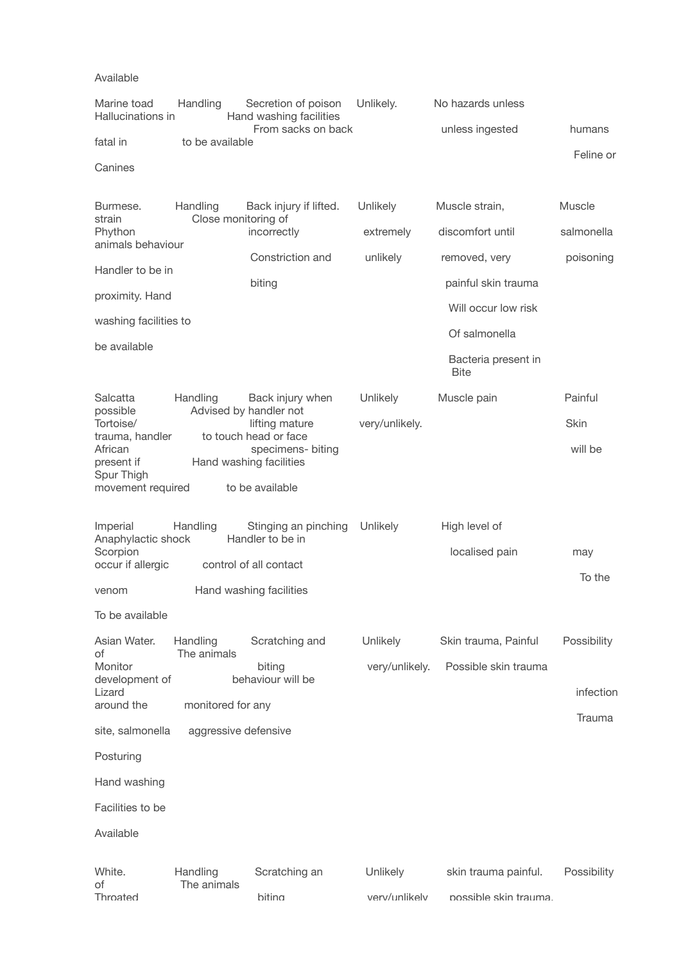## Available

| Marine toad<br>Hallucinations in         | Handling                | Secretion of poison<br>Hand washing facilities<br>From sacks on back  | Unlikely.       | No hazards unless<br>unless ingested | humans      |
|------------------------------------------|-------------------------|-----------------------------------------------------------------------|-----------------|--------------------------------------|-------------|
| fatal in                                 | to be available         |                                                                       |                 |                                      |             |
| Canines                                  |                         |                                                                       |                 |                                      | Feline or   |
| Burmese.<br>strain                       | Handling                | Back injury if lifted.<br>Close monitoring of                         | Unlikely        | Muscle strain,                       | Muscle      |
| Phython<br>animals behaviour             |                         | incorrectly                                                           | extremely       | discomfort until                     | salmonella  |
| Handler to be in                         |                         | Constriction and                                                      | unlikely        | removed, very                        | poisoning   |
| proximity. Hand                          |                         | biting                                                                |                 | painful skin trauma                  |             |
| washing facilities to                    |                         |                                                                       |                 | Will occur low risk                  |             |
| be available                             |                         |                                                                       |                 | Of salmonella                        |             |
|                                          |                         |                                                                       |                 | Bacteria present in<br><b>Bite</b>   |             |
| Salcatta<br>possible                     | Handling                | Back injury when<br>Advised by handler not                            | <b>Unlikely</b> | Muscle pain                          | Painful     |
| Tortoise/                                |                         | lifting mature                                                        | very/unlikely.  |                                      | Skin        |
| trauma, handler<br>African<br>present if |                         | to touch head or face<br>specimens- biting<br>Hand washing facilities |                 |                                      | will be     |
| Spur Thigh                               |                         |                                                                       |                 |                                      |             |
| movement required                        |                         | to be available                                                       |                 |                                      |             |
| Imperial<br>Anaphylactic shock           | Handling                | Stinging an pinching<br>Handler to be in                              | Unlikely        | High level of                        |             |
| Scorpion                                 |                         |                                                                       |                 | localised pain                       | may         |
| occur if allergic                        |                         | control of all contact                                                |                 |                                      | To the      |
| venom                                    |                         | Hand washing facilities                                               |                 |                                      |             |
| To be available                          |                         |                                                                       |                 |                                      |             |
| Asian Water.<br>of                       | Handling<br>The animals | Scratching and                                                        | <b>Unlikely</b> | Skin trauma, Painful                 | Possibility |
| Monitor<br>development of                |                         | biting<br>behaviour will be                                           | very/unlikely.  | Possible skin trauma                 |             |
| Lizard<br>around the                     | monitored for any       |                                                                       |                 |                                      | infection   |
| site, salmonella                         |                         | aggressive defensive                                                  |                 |                                      | Trauma      |
| Posturing                                |                         |                                                                       |                 |                                      |             |
| Hand washing                             |                         |                                                                       |                 |                                      |             |
| Facilities to be                         |                         |                                                                       |                 |                                      |             |
| Available                                |                         |                                                                       |                 |                                      |             |
| White.                                   | Handling                | Scratching an                                                         | Unlikely        | skin trauma painful.                 | Possibility |
| of<br>Throated                           | The animals             | hitina                                                                | verv/unlikelv   | nossible skin trauma.                |             |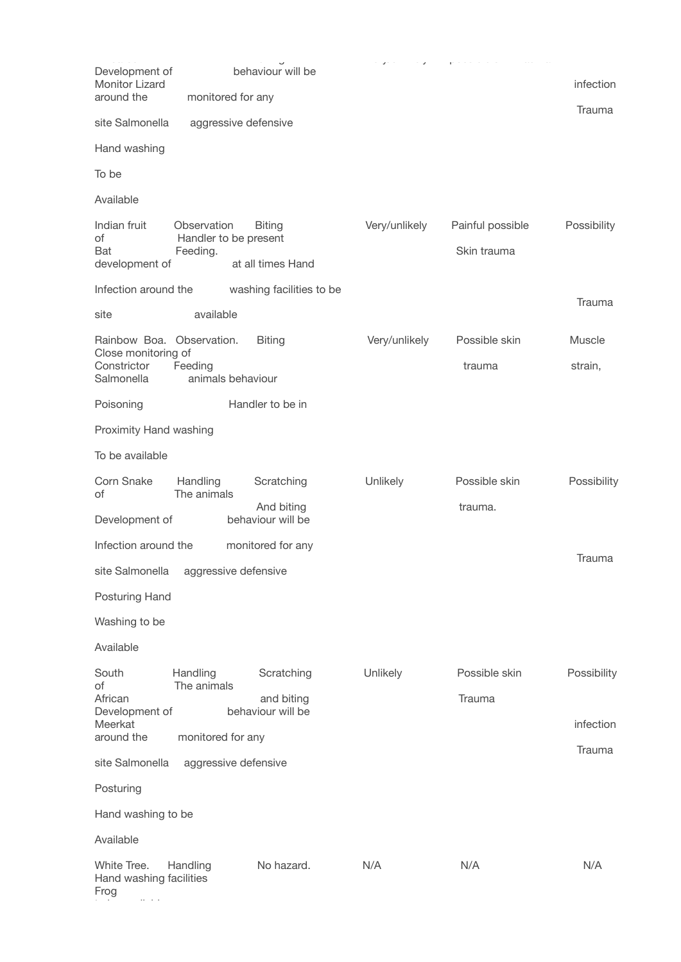| Development of<br><b>Monitor Lizard</b><br>around the                         | monitored for any                                | behaviour will be                             |               |                                 | infection         |
|-------------------------------------------------------------------------------|--------------------------------------------------|-----------------------------------------------|---------------|---------------------------------|-------------------|
| site Salmonella                                                               |                                                  | aggressive defensive                          |               |                                 | Trauma            |
| Hand washing                                                                  |                                                  |                                               |               |                                 |                   |
| To be                                                                         |                                                  |                                               |               |                                 |                   |
| Available                                                                     |                                                  |                                               |               |                                 |                   |
| Indian fruit<br>of<br>Bat<br>development of                                   | Observation<br>Handler to be present<br>Feeding. | <b>Biting</b><br>at all times Hand            | Very/unlikely | Painful possible<br>Skin trauma | Possibility       |
| Infection around the                                                          |                                                  | washing facilities to be                      |               |                                 |                   |
| site                                                                          | available                                        |                                               |               |                                 | Trauma            |
| Rainbow Boa. Observation.<br>Close monitoring of<br>Constrictor<br>Salmonella | Feeding<br>animals behaviour                     | <b>Biting</b>                                 | Very/unlikely | Possible skin<br>trauma         | Muscle<br>strain, |
| Poisoning                                                                     |                                                  | Handler to be in                              |               |                                 |                   |
| Proximity Hand washing                                                        |                                                  |                                               |               |                                 |                   |
| To be available                                                               |                                                  |                                               |               |                                 |                   |
| Corn Snake<br>of                                                              | Handling<br>The animals                          | Scratching                                    | Unlikely      | Possible skin                   | Possibility       |
| Development of                                                                |                                                  | And biting<br>behaviour will be               |               | trauma.                         |                   |
| Infection around the                                                          |                                                  | monitored for any                             |               |                                 |                   |
| site Salmonella                                                               | aggressive defensive                             |                                               |               |                                 | Trauma            |
| <b>Posturing Hand</b>                                                         |                                                  |                                               |               |                                 |                   |
| Washing to be                                                                 |                                                  |                                               |               |                                 |                   |
| Available                                                                     |                                                  |                                               |               |                                 |                   |
| South<br>of<br>African<br>Development of                                      | Handling<br>The animals                          | Scratching<br>and biting<br>behaviour will be | Unlikely      | Possible skin<br>Trauma         | Possibility       |
| Meerkat<br>around the                                                         | monitored for any                                |                                               |               |                                 | infection         |
| site Salmonella                                                               | aggressive defensive                             |                                               |               |                                 | Trauma            |
| Posturing                                                                     |                                                  |                                               |               |                                 |                   |
| Hand washing to be                                                            |                                                  |                                               |               |                                 |                   |
| Available                                                                     |                                                  |                                               |               |                                 |                   |
| White Tree.<br>Hand washing facilities<br>Frog                                | Handling                                         | No hazard.                                    | N/A           | N/A                             | N/A               |

to be available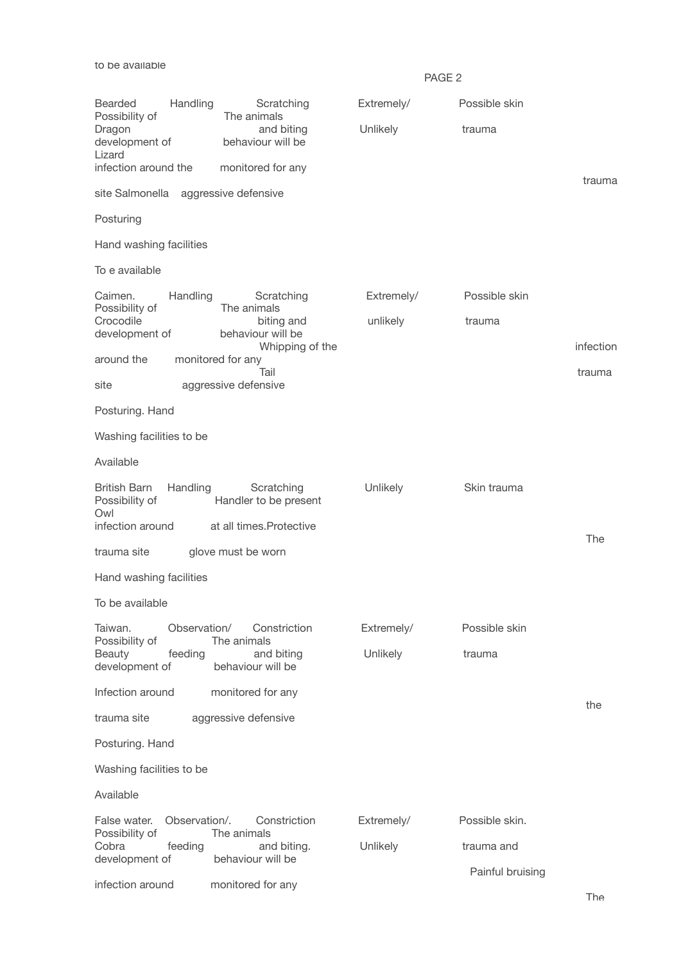to be available

|                                                                      |                                                                                 | PAGE 2                 |                         |           |
|----------------------------------------------------------------------|---------------------------------------------------------------------------------|------------------------|-------------------------|-----------|
| Bearded<br>Handling                                                  | Scratching                                                                      | Extremely/             | Possible skin           |           |
| Possibility of<br>Dragon<br>development of                           | The animals<br>and biting<br>behaviour will be                                  | Unlikely               | trauma                  |           |
| Lizard<br>infection around the                                       | monitored for any                                                               |                        |                         |           |
| site Salmonella aggressive defensive                                 |                                                                                 |                        |                         | trauma    |
| Posturing                                                            |                                                                                 |                        |                         |           |
| Hand washing facilities                                              |                                                                                 |                        |                         |           |
| To e available                                                       |                                                                                 |                        |                         |           |
| Caimen.<br>Handling<br>Possibility of<br>Crocodile<br>development of | Scratching<br>The animals<br>biting and<br>behaviour will be<br>Whipping of the | Extremely/<br>unlikely | Possible skin<br>trauma | infection |
| around the                                                           | monitored for any<br>Tail                                                       |                        |                         | trauma    |
| site                                                                 | aggressive defensive                                                            |                        |                         |           |
| Posturing. Hand                                                      |                                                                                 |                        |                         |           |
| Washing facilities to be                                             |                                                                                 |                        |                         |           |
| Available                                                            |                                                                                 |                        |                         |           |
| <b>British Barn</b><br>Handling<br>Possibility of<br>Owl             | Scratching<br>Handler to be present                                             | Unlikely               | Skin trauma             |           |
| infection around                                                     | at all times. Protective                                                        |                        |                         | The       |
| trauma site                                                          | glove must be worn                                                              |                        |                         |           |
| Hand washing facilities                                              |                                                                                 |                        |                         |           |
| To be available                                                      |                                                                                 |                        |                         |           |
| Observation/<br>Taiwan.<br>Possibility of                            | Constriction<br>The animals                                                     | Extremely/             | Possible skin           |           |
| Beauty<br>feeding<br>development of                                  | and biting<br>behaviour will be                                                 | <b>Unlikely</b>        | trauma                  |           |
| Infection around                                                     | monitored for any                                                               |                        |                         | the       |
| trauma site                                                          | aggressive defensive                                                            |                        |                         |           |
| Posturing. Hand                                                      |                                                                                 |                        |                         |           |
| Washing facilities to be                                             |                                                                                 |                        |                         |           |
| Available                                                            |                                                                                 |                        |                         |           |
| False water.<br>Observation/.<br>Possibility of                      | Constriction<br>The animals                                                     | Extremely/             | Possible skin.          |           |
| Cobra<br>feeding<br>development of                                   | and biting.<br>behaviour will be                                                | Unlikely               | trauma and              |           |
|                                                                      |                                                                                 |                        | Painful bruising        |           |

infection around monitored for any